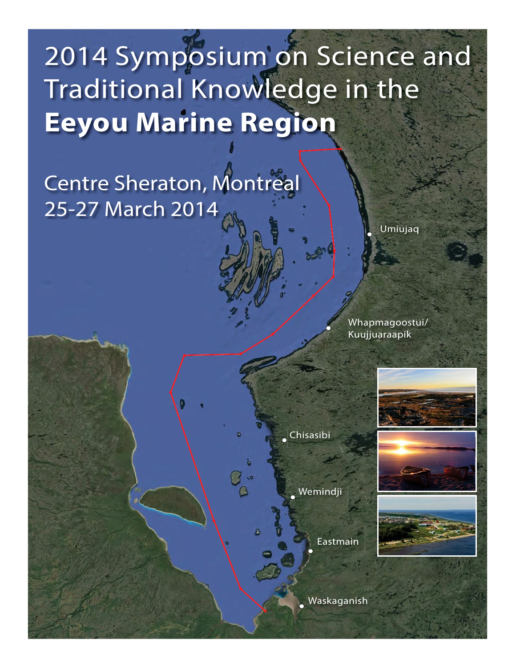# 2014 Symposium on Science and Traditional Knowledge in the **Eeyou Marine Region**

Centre Sheraton, Montreal 25-27 March 2014

Umiujaq

Whapmagoostui/ Kuujjuaraapik

Chisasibi

Wemindji

Eastmain

Waskaganish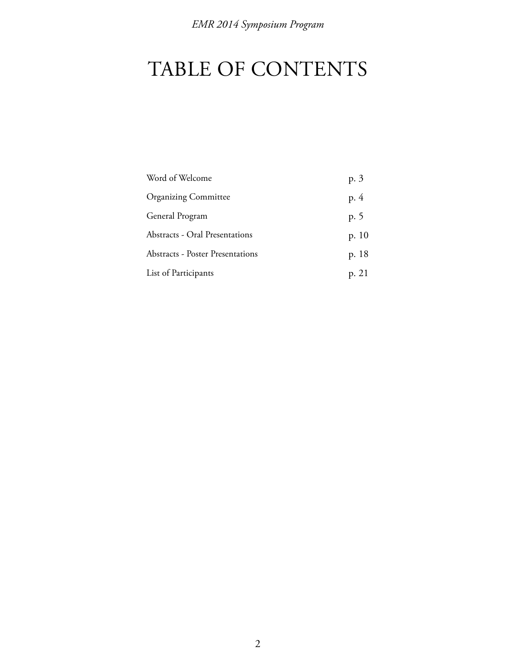# TABLE OF CONTENTS

| Word of Welcome                         | p. 3    |
|-----------------------------------------|---------|
| <b>Organizing Committee</b>             | p. 4    |
| General Program                         | p. 5    |
| Abstracts - Oral Presentations          | p. $10$ |
| <b>Abstracts - Poster Presentations</b> | p. 18   |
| List of Participants                    | p. 21   |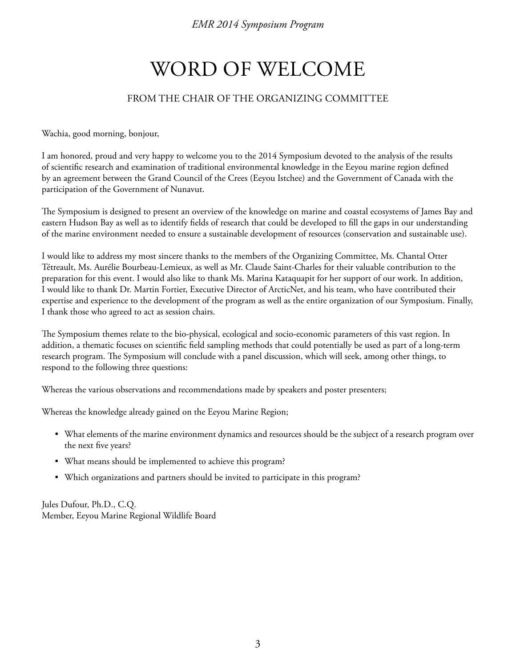# WORD OF WELCOME

# FROM THE CHAIR OF THE ORGANIZING COMMITTEE

Wachia, good morning, bonjour,

I am honored, proud and very happy to welcome you to the 2014 Symposium devoted to the analysis of the results of scientific research and examination of traditional environmental knowledge in the Eeyou marine region defined by an agreement between the Grand Council of the Crees (Eeyou Istchee) and the Government of Canada with the participation of the Government of Nunavut.

The Symposium is designed to present an overview of the knowledge on marine and coastal ecosystems of James Bay and eastern Hudson Bay as well as to identify fields of research that could be developed to fill the gaps in our understanding of the marine environment needed to ensure a sustainable development of resources (conservation and sustainable use).

I would like to address my most sincere thanks to the members of the Organizing Committee, Ms. Chantal Otter Tétreault, Ms. Aurélie Bourbeau-Lemieux, as well as Mr. Claude Saint-Charles for their valuable contribution to the preparation for this event. I would also like to thank Ms. Marina Kataquapit for her support of our work. In addition, I would like to thank Dr. Martin Fortier, Executive Director of ArcticNet, and his team, who have contributed their expertise and experience to the development of the program as well as the entire organization of our Symposium. Finally, I thank those who agreed to act as session chairs.

The Symposium themes relate to the bio-physical, ecological and socio-economic parameters of this vast region. In addition, a thematic focuses on scientific field sampling methods that could potentially be used as part of a long-term research program. The Symposium will conclude with a panel discussion, which will seek, among other things, to respond to the following three questions:

Whereas the various observations and recommendations made by speakers and poster presenters;

Whereas the knowledge already gained on the Eeyou Marine Region;

- What elements of the marine environment dynamics and resources should be the subject of a research program over the next five years?
- What means should be implemented to achieve this program?
- Which organizations and partners should be invited to participate in this program?

Jules Dufour, Ph.D., C.Q. Member, Eeyou Marine Regional Wildlife Board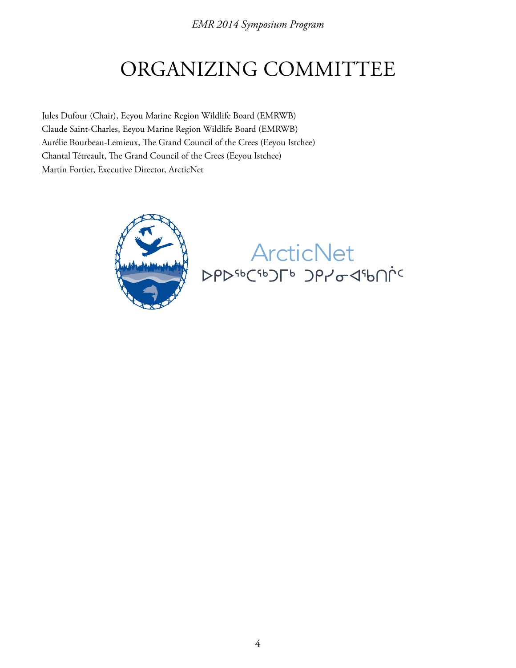# ORGANIZING COMMITTEE

Jules Dufour (Chair), Eeyou Marine Region Wildlife Board (EMRWB) Claude Saint-Charles, Eeyou Marine Region Wildlife Board (EMRWB) Aurélie Bourbeau-Lemieux, The Grand Council of the Crees (Eeyou Istchee) Chantal Tétreault, The Grand Council of the Crees (Eeyou Istchee) Martin Fortier, Executive Director, ArcticNet



ArcticNet<br>PPPSBCSBJFB JPYo<1Shnic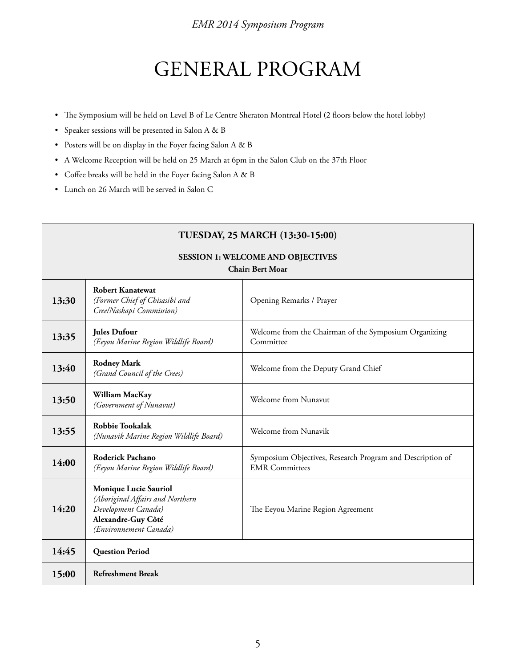# GENERAL PROGRAM

- The Symposium will be held on Level B of Le Centre Sheraton Montreal Hotel (2 floors below the hotel lobby)
- Speaker sessions will be presented in Salon A & B
- Posters will be on display in the Foyer facing Salon A & B
- A Welcome Reception will be held on 25 March at 6pm in the Salon Club on the 37th Floor
- Coffee breaks will be held in the Foyer facing Salon A & B
- Lunch on 26 March will be served in Salon C

| TUESDAY, 25 MARCH (13:30-15:00)                                     |                                                                                                                                  |                                                                                    |  |
|---------------------------------------------------------------------|----------------------------------------------------------------------------------------------------------------------------------|------------------------------------------------------------------------------------|--|
| <b>SESSION 1: WELCOME AND OBJECTIVES</b><br><b>Chair: Bert Moar</b> |                                                                                                                                  |                                                                                    |  |
| 13:30                                                               | <b>Robert Kanatewat</b><br>(Former Chief of Chisasibi and<br>Cree/Naskapi Commission)                                            | Opening Remarks / Prayer                                                           |  |
| 13:35                                                               | <b>Jules Dufour</b><br>(Eeyou Marine Region Wildlife Board)                                                                      | Welcome from the Chairman of the Symposium Organizing<br>Committee                 |  |
| 13:40                                                               | <b>Rodney Mark</b><br>(Grand Council of the Crees)                                                                               | Welcome from the Deputy Grand Chief                                                |  |
| 13:50                                                               | William MacKay<br>(Government of Nunavut)                                                                                        | Welcome from Nunavut                                                               |  |
| 13:55                                                               | <b>Robbie Tookalak</b><br>(Nunavik Marine Region Wildlife Board)                                                                 | Welcome from Nunavik                                                               |  |
| 14:00                                                               | <b>Roderick Pachano</b><br>(Eeyou Marine Region Wildlife Board)                                                                  | Symposium Objectives, Research Program and Description of<br><b>EMR</b> Committees |  |
| 14:20                                                               | Monique Lucie Sauriol<br>(Aboriginal Affairs and Northern<br>Development Canada)<br>Alexandre-Guy Côté<br>(Environnement Canada) | The Eeyou Marine Region Agreement                                                  |  |
| 14:45                                                               | <b>Question Period</b>                                                                                                           |                                                                                    |  |
| 15:00                                                               | <b>Refreshment Break</b>                                                                                                         |                                                                                    |  |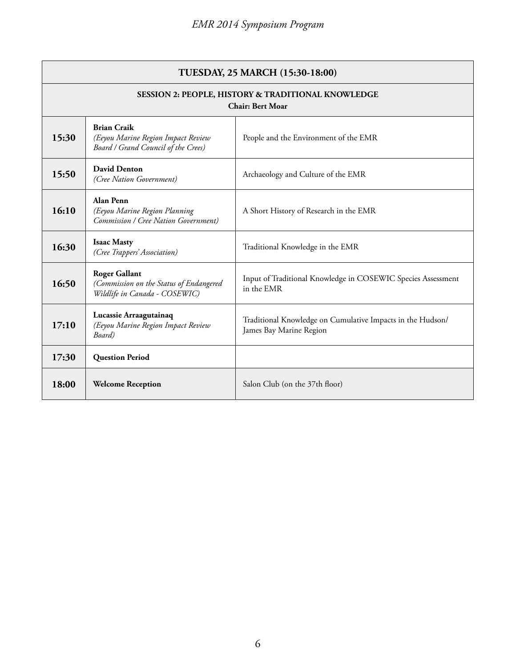| TUESDAY, 25 MARCH (15:30-18:00)                                               |                                                                                                  |                                                                                       |
|-------------------------------------------------------------------------------|--------------------------------------------------------------------------------------------------|---------------------------------------------------------------------------------------|
| SESSION 2: PEOPLE, HISTORY & TRADITIONAL KNOWLEDGE<br><b>Chair: Bert Moar</b> |                                                                                                  |                                                                                       |
| 15:30                                                                         | <b>Brian Craik</b><br>(Eeyou Marine Region Impact Review<br>Board / Grand Council of the Crees)  | People and the Environment of the EMR                                                 |
| 15:50                                                                         | <b>David Denton</b><br>(Cree Nation Government)                                                  | Archaeology and Culture of the EMR                                                    |
| 16:10                                                                         | Alan Penn<br>(Eeyou Marine Region Planning<br>Commission / Cree Nation Government)               | A Short History of Research in the EMR                                                |
| 16:30                                                                         | <b>Isaac Masty</b><br>(Cree Trappers' Association)                                               | Traditional Knowledge in the EMR                                                      |
| 16:50                                                                         | <b>Roger Gallant</b><br>(Commission on the Status of Endangered<br>Wildlife in Canada - COSEWIC) | Input of Traditional Knowledge in COSEWIC Species Assessment<br>in the EMR            |
| 17:10                                                                         | Lucassie Arraagutainaq<br>(Eeyou Marine Region Impact Review<br>Board)                           | Traditional Knowledge on Cumulative Impacts in the Hudson/<br>James Bay Marine Region |
| 17:30                                                                         | <b>Question Period</b>                                                                           |                                                                                       |
| 18:00                                                                         | <b>Welcome Reception</b>                                                                         | Salon Club (on the 37th floor)                                                        |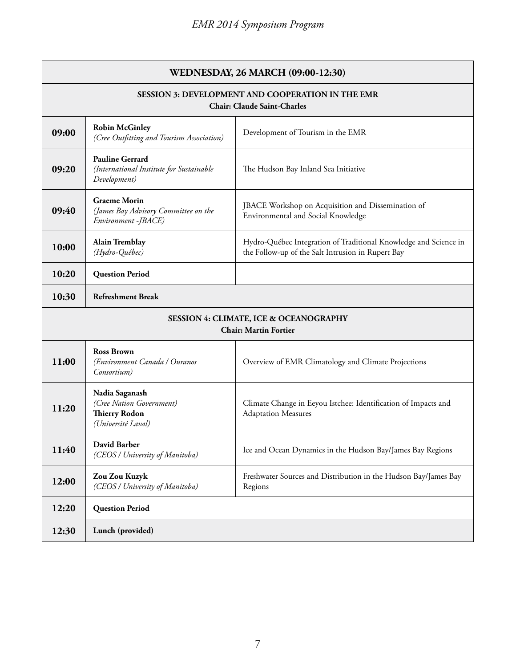| WEDNESDAY, 26 MARCH (09:00-12:30)                                                              |                                                                                          |                                                                                                                       |  |
|------------------------------------------------------------------------------------------------|------------------------------------------------------------------------------------------|-----------------------------------------------------------------------------------------------------------------------|--|
| <b>SESSION 3: DEVELOPMENT AND COOPERATION IN THE EMR</b><br><b>Chair: Claude Saint-Charles</b> |                                                                                          |                                                                                                                       |  |
| 09:00                                                                                          | <b>Robin McGinley</b><br>(Cree Outfitting and Tourism Association)                       | Development of Tourism in the EMR                                                                                     |  |
| 09:20                                                                                          | <b>Pauline Gerrard</b><br>(International Institute for Sustainable<br>Development)       | The Hudson Bay Inland Sea Initiative                                                                                  |  |
| 09:40                                                                                          | <b>Graeme Morin</b><br>(James Bay Advisory Committee on the<br>Environment -JBACE)       | JBACE Workshop on Acquisition and Dissemination of<br>Environmental and Social Knowledge                              |  |
| 10:00                                                                                          | <b>Alain Tremblay</b><br>(Hydro-Québec)                                                  | Hydro-Québec Integration of Traditional Knowledge and Science in<br>the Follow-up of the Salt Intrusion in Rupert Bay |  |
| 10:20                                                                                          | <b>Question Period</b>                                                                   |                                                                                                                       |  |
| 10:30                                                                                          | <b>Refreshment Break</b>                                                                 |                                                                                                                       |  |
| <b>SESSION 4: CLIMATE, ICE &amp; OCEANOGRAPHY</b><br><b>Chair: Martin Fortier</b>              |                                                                                          |                                                                                                                       |  |
| 11:00                                                                                          | <b>Ross Brown</b><br>(Environment Canada / Ouranos<br>Consortium)                        | Overview of EMR Climatology and Climate Projections                                                                   |  |
| 11:20                                                                                          | Nadia Saganash<br>(Cree Nation Government)<br><b>Thierry Rodon</b><br>(Université Laval) | Climate Change in Eeyou Istchee: Identification of Impacts and<br><b>Adaptation Measures</b>                          |  |
| 11:40                                                                                          | David Barber<br>(CEOS / University of Manitoba)                                          | Ice and Ocean Dynamics in the Hudson Bay/James Bay Regions                                                            |  |
| 12:00                                                                                          | Zou Zou Kuzyk<br>(CEOS / University of Manitoba)                                         | Freshwater Sources and Distribution in the Hudson Bay/James Bay<br>Regions                                            |  |
| 12:20                                                                                          | <b>Question Period</b>                                                                   |                                                                                                                       |  |
| 12:30                                                                                          | Lunch (provided)                                                                         |                                                                                                                       |  |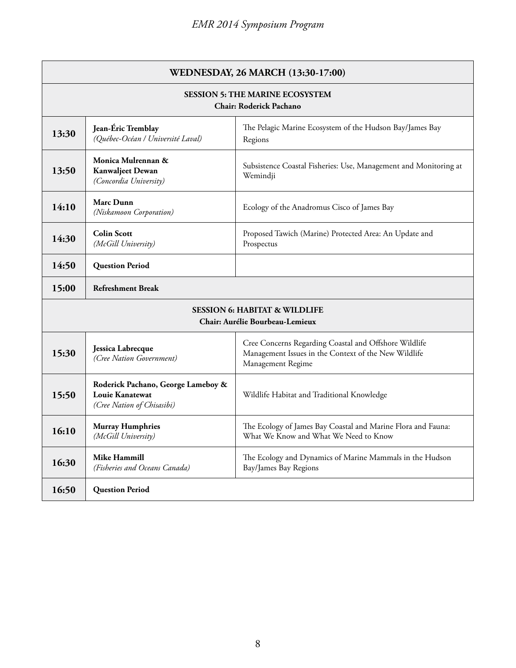| WEDNESDAY, 26 MARCH (13:30-17:00)                                                  |                                                                                            |                                                                                                                                    |
|------------------------------------------------------------------------------------|--------------------------------------------------------------------------------------------|------------------------------------------------------------------------------------------------------------------------------------|
| <b>SESSION 5: THE MARINE ECOSYSTEM</b><br><b>Chair: Roderick Pachano</b>           |                                                                                            |                                                                                                                                    |
| 13:30                                                                              | Jean-Éric Tremblay<br>(Québec-Océan / Université Laval)                                    | The Pelagic Marine Ecosystem of the Hudson Bay/James Bay<br>Regions                                                                |
| 13:50                                                                              | Monica Mulrennan &<br><b>Kanwaljeet Dewan</b><br>(Concordia University)                    | Subsistence Coastal Fisheries: Use, Management and Monitoring at<br>Wemindji                                                       |
| 14:10                                                                              | <b>Marc Dunn</b><br>(Niskamoon Corporation)                                                | Ecology of the Anadromus Cisco of James Bay                                                                                        |
| 14:30                                                                              | <b>Colin Scott</b><br>(McGill University)                                                  | Proposed Tawich (Marine) Protected Area: An Update and<br>Prospectus                                                               |
| 14:50                                                                              | <b>Question Period</b>                                                                     |                                                                                                                                    |
| 15:00                                                                              | <b>Refreshment Break</b>                                                                   |                                                                                                                                    |
| <b>SESSION 6: HABITAT &amp; WILDLIFE</b><br><b>Chair: Aurélie Bourbeau-Lemieux</b> |                                                                                            |                                                                                                                                    |
| 15:30                                                                              | Jessica Labrecque<br>(Cree Nation Government)                                              | Cree Concerns Regarding Coastal and Offshore Wildlife<br>Management Issues in the Context of the New Wildlife<br>Management Regime |
| 15:50                                                                              | Roderick Pachano, George Lameboy &<br><b>Louie Kanatewat</b><br>(Cree Nation of Chisasibi) | Wildlife Habitat and Traditional Knowledge                                                                                         |
| 16:10                                                                              | <b>Murray Humphries</b><br>(McGill University)                                             | The Ecology of James Bay Coastal and Marine Flora and Fauna:<br>What We Know and What We Need to Know                              |
| 16:30                                                                              | <b>Mike Hammill</b><br>(Fisheries and Oceans Canada)                                       | The Ecology and Dynamics of Marine Mammals in the Hudson<br>Bay/James Bay Regions                                                  |
| 16:50                                                                              | <b>Question Period</b>                                                                     |                                                                                                                                    |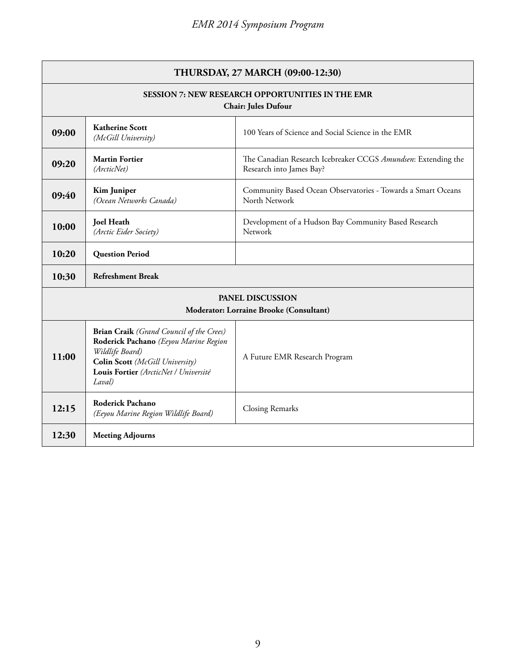|                                                                                       | THURSDAY, 27 MARCH (09:00-12:30)                                                                                                                                                                  |                                                                                           |  |
|---------------------------------------------------------------------------------------|---------------------------------------------------------------------------------------------------------------------------------------------------------------------------------------------------|-------------------------------------------------------------------------------------------|--|
| <b>SESSION 7: NEW RESEARCH OPPORTUNITIES IN THE EMR</b><br><b>Chair: Jules Dufour</b> |                                                                                                                                                                                                   |                                                                                           |  |
| 09:00                                                                                 | <b>Katherine Scott</b><br>(McGill University)                                                                                                                                                     | 100 Years of Science and Social Science in the EMR                                        |  |
| 09:20                                                                                 | <b>Martin Fortier</b><br>(ArcticNet)                                                                                                                                                              | The Canadian Research Icebreaker CCGS Amundsen: Extending the<br>Research into James Bay? |  |
| 09:40                                                                                 | <b>Kim Juniper</b><br>(Ocean Networks Canada)                                                                                                                                                     | Community Based Ocean Observatories - Towards a Smart Oceans<br>North Network             |  |
| 10:00                                                                                 | <b>Joel Heath</b><br>(Arctic Eider Society)                                                                                                                                                       | Development of a Hudson Bay Community Based Research<br>Network                           |  |
| 10:20                                                                                 | <b>Question Period</b>                                                                                                                                                                            |                                                                                           |  |
| 10:30                                                                                 | <b>Refreshment Break</b>                                                                                                                                                                          |                                                                                           |  |
|                                                                                       | <b>PANEL DISCUSSION</b><br>Moderator: Lorraine Brooke (Consultant)                                                                                                                                |                                                                                           |  |
| 11:00                                                                                 | <b>Brian Craik</b> (Grand Council of the Crees)<br>Roderick Pachano (Eeyou Marine Region<br>Wildlife Board)<br>Colin Scott (McGill University)<br>Louis Fortier (ArcticNet / Université<br>Laval) | A Future EMR Research Program                                                             |  |
| 12:15                                                                                 | Roderick Pachano<br>(Eeyou Marine Region Wildlife Board)                                                                                                                                          | <b>Closing Remarks</b>                                                                    |  |
| 12:30                                                                                 | <b>Meeting Adjourns</b>                                                                                                                                                                           |                                                                                           |  |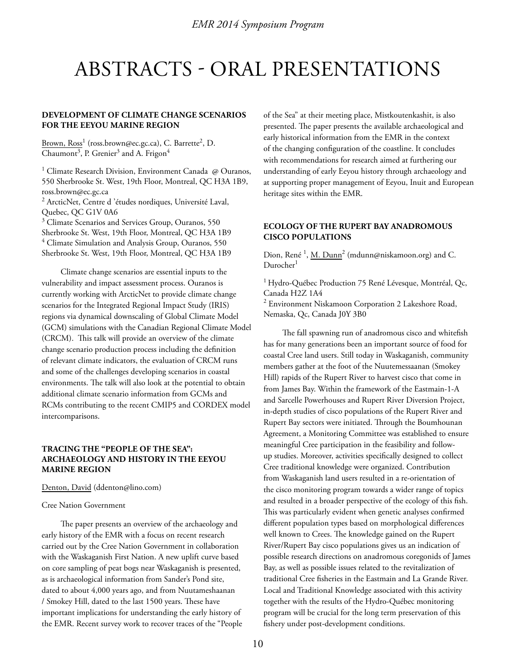# ABSTRACTS - ORAL PRESENTATIONS

# **DEVELOPMENT OF CLIMATE CHANGE SCENARIOS FOR THE EEYOU MARINE REGION**

Brown, Ross<sup>1</sup> (ross.brown@ec.gc.ca), C. Barrette<sup>2</sup>, D. Chaumont $^3$ , P. Grenier $^3$  and A. Frigon $^4$ 

<sup>1</sup> Climate Research Division, Environment Canada @ Ouranos, 550 Sherbrooke St. West, 19th Floor, Montreal, QC H3A 1B9, ross.brown@ec.gc.ca

<sup>2</sup> ArcticNet, Centre d'études nordiques, Université Laval, Quebec, QC G1V 0A6

<sup>3</sup> Climate Scenarios and Services Group, Ouranos, 550 Sherbrooke St. West, 19th Floor, Montreal, QC H3A 1B9 4 Climate Simulation and Analysis Group, Ouranos, 550 Sherbrooke St. West, 19th Floor, Montreal, QC H3A 1B9

Climate change scenarios are essential inputs to the vulnerability and impact assessment process. Ouranos is currently working with ArcticNet to provide climate change scenarios for the Integrated Regional Impact Study (IRIS) regions via dynamical downscaling of Global Climate Model (GCM) simulations with the Canadian Regional Climate Model (CRCM). This talk will provide an overview of the climate change scenario production process including the definition of relevant climate indicators, the evaluation of CRCM runs and some of the challenges developing scenarios in coastal environments. The talk will also look at the potential to obtain additional climate scenario information from GCMs and RCMs contributing to the recent CMIP5 and CORDEX model intercomparisons.

# **TRACING THE "PEOPLE OF THE SEA": ARCHAEOLOGY AND HISTORY IN THE EEYOU MARINE REGION**

Denton, David (ddenton@lino.com)

#### Cree Nation Government

The paper presents an overview of the archaeology and early history of the EMR with a focus on recent research carried out by the Cree Nation Government in collaboration with the Waskaganish First Nation. A new uplift curve based on core sampling of peat bogs near Waskaganish is presented, as is archaeological information from Sander's Pond site, dated to about 4,000 years ago, and from Nuutameshaanan / Smokey Hill, dated to the last 1500 years. These have important implications for understanding the early history of the EMR. Recent survey work to recover traces of the "People of the Sea" at their meeting place, Mistkoutenkashit, is also presented. The paper presents the available archaeological and early historical information from the EMR in the context of the changing configuration of the coastline. It concludes with recommendations for research aimed at furthering our understanding of early Eeyou history through archaeology and at supporting proper management of Eeyou, Inuit and European heritage sites within the EMR.

# **ECOLOGY OF THE RUPERT BAY ANADROMOUS CISCO POPULATIONS**

Dion, René <sup>1</sup>, <u>M. Dunn</u><sup>2</sup> (mdunn@niskamoon.org) and C.  $Durocher<sup>1</sup>$ 

<sup>1</sup> Hydro-Québec Production 75 René Lévesque, Montréal, Qc, Canada H2Z 1A4

<sup>2</sup> Environment Niskamoon Corporation 2 Lakeshore Road, Nemaska, Qc, Canada J0Y 3B0

The fall spawning run of anadromous cisco and whitefish has for many generations been an important source of food for coastal Cree land users. Still today in Waskaganish, community members gather at the foot of the Nuutemessaanan (Smokey Hill) rapids of the Rupert River to harvest cisco that come in from James Bay. Within the framework of the Eastmain-1-A and Sarcelle Powerhouses and Rupert River Diversion Project, in-depth studies of cisco populations of the Rupert River and Rupert Bay sectors were initiated. Through the Boumhounan Agreement, a Monitoring Committee was established to ensure meaningful Cree participation in the feasibility and followup studies. Moreover, activities specifically designed to collect Cree traditional knowledge were organized. Contribution from Waskaganish land users resulted in a re-orientation of the cisco monitoring program towards a wider range of topics and resulted in a broader perspective of the ecology of this fish. This was particularly evident when genetic analyses confirmed different population types based on morphological differences well known to Crees. The knowledge gained on the Rupert River/Rupert Bay cisco populations gives us an indication of possible research directions on anadromous coregonids of James Bay, as well as possible issues related to the revitalization of traditional Cree fisheries in the Eastmain and La Grande River. Local and Traditional Knowledge associated with this activity together with the results of the Hydro-Québec monitoring program will be crucial for the long term preservation of this fishery under post-development conditions.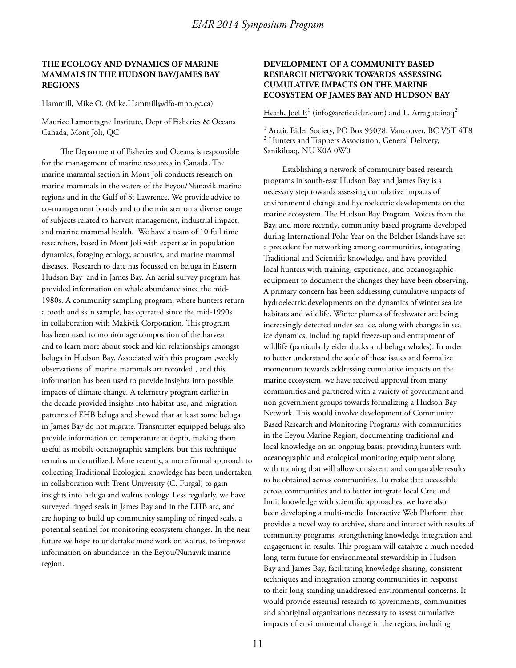# **THE ECOLOGY AND DYNAMICS OF MARINE MAMMALS IN THE HUDSON BAY/JAMES BAY REGIONS**

#### Hammill, Mike O. (Mike.Hammill@dfo-mpo.gc.ca)

Maurice Lamontagne Institute, Dept of Fisheries & Oceans Canada, Mont Joli, QC

The Department of Fisheries and Oceans is responsible for the management of marine resources in Canada. The marine mammal section in Mont Joli conducts research on marine mammals in the waters of the Eeyou/Nunavik marine regions and in the Gulf of St Lawrence. We provide advice to co-management boards and to the minister on a diverse range of subjects related to harvest management, industrial impact, and marine mammal health. We have a team of 10 full time researchers, based in Mont Joli with expertise in population dynamics, foraging ecology, acoustics, and marine mammal diseases. Research to date has focussed on beluga in Eastern Hudson Bay and in James Bay. An aerial survey program has provided information on whale abundance since the mid-1980s. A community sampling program, where hunters return a tooth and skin sample, has operated since the mid-1990s in collaboration with Makivik Corporation. This program has been used to monitor age composition of the harvest and to learn more about stock and kin relationships amongst beluga in Hudson Bay. Associated with this program ,weekly observations of marine mammals are recorded , and this information has been used to provide insights into possible impacts of climate change. A telemetry program earlier in the decade provided insights into habitat use, and migration patterns of EHB beluga and showed that at least some beluga in James Bay do not migrate. Transmitter equipped beluga also provide information on temperature at depth, making them useful as mobile oceanographic samplers, but this technique remains underutilized. More recently, a more formal approach to collecting Traditional Ecological knowledge has been undertaken in collaboration with Trent University (C. Furgal) to gain insights into beluga and walrus ecology. Less regularly, we have surveyed ringed seals in James Bay and in the EHB arc, and are hoping to build up community sampling of ringed seals, a potential sentinel for monitoring ecosystem changes. In the near future we hope to undertake more work on walrus, to improve information on abundance in the Eeyou/Nunavik marine region.

# **DEVELOPMENT OF A COMMUNITY BASED RESEARCH NETWORK TOWARDS ASSESSING CUMULATIVE IMPACTS ON THE MARINE ECOSYSTEM OF JAMES BAY AND HUDSON BAY**

<u>Heath, Joel P.</u>1 (info@arcticeider.com) and L. Arragutainaq<sup>2</sup>

<sup>1</sup> Arctic Eider Society, PO Box 95078, Vancouver, BC V5T 4T8 <sup>2</sup> Hunters and Trappers Association, General Delivery, Sanikiluaq, NU X0A 0W0

Establishing a network of community based research programs in south-east Hudson Bay and James Bay is a necessary step towards assessing cumulative impacts of environmental change and hydroelectric developments on the marine ecosystem. The Hudson Bay Program, Voices from the Bay, and more recently, community based programs developed during International Polar Year on the Belcher Islands have set a precedent for networking among communities, integrating Traditional and Scientific knowledge, and have provided local hunters with training, experience, and oceanographic equipment to document the changes they have been observing. A primary concern has been addressing cumulative impacts of hydroelectric developments on the dynamics of winter sea ice habitats and wildlife. Winter plumes of freshwater are being increasingly detected under sea ice, along with changes in sea ice dynamics, including rapid freeze-up and entrapment of wildlife (particularly eider ducks and beluga whales). In order to better understand the scale of these issues and formalize momentum towards addressing cumulative impacts on the marine ecosystem, we have received approval from many communities and partnered with a variety of government and non-government groups towards formalizing a Hudson Bay Network. This would involve development of Community Based Research and Monitoring Programs with communities in the Eeyou Marine Region, documenting traditional and local knowledge on an ongoing basis, providing hunters with oceanographic and ecological monitoring equipment along with training that will allow consistent and comparable results to be obtained across communities. To make data accessible across communities and to better integrate local Cree and Inuit knowledge with scientific approaches, we have also been developing a multi-media Interactive Web Platform that provides a novel way to archive, share and interact with results of community programs, strengthening knowledge integration and engagement in results. This program will catalyze a much needed long-term future for environmental stewardship in Hudson Bay and James Bay, facilitating knowledge sharing, consistent techniques and integration among communities in response to their long-standing unaddressed environmental concerns. It would provide essential research to governments, communities and aboriginal organizations necessary to assess cumulative impacts of environmental change in the region, including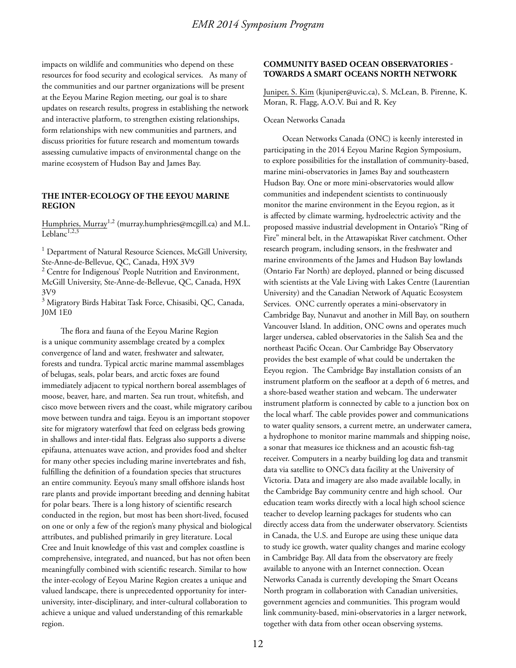impacts on wildlife and communities who depend on these resources for food security and ecological services. As many of the communities and our partner organizations will be present at the Eeyou Marine Region meeting, our goal is to share updates on research results, progress in establishing the network and interactive platform, to strengthen existing relationships, form relationships with new communities and partners, and discuss priorities for future research and momentum towards assessing cumulative impacts of environmental change on the marine ecosystem of Hudson Bay and James Bay.

### **THE INTER-ECOLOGY OF THE EEYOU MARINE REGION**

Humphries, Murray<sup>1,2</sup> (murray.humphries@mcgill.ca) and M.L. Leblanc<sup>1,2,3</sup>

<sup>1</sup> Department of Natural Resource Sciences, McGill University, Ste-Anne-de-Bellevue, QC, Canada, H9X 3V9

<sup>2</sup> Centre for Indigenous' People Nutrition and Environment, McGill University, Ste-Anne-de-Bellevue, QC, Canada, H9X 3V9

<sup>3</sup> Migratory Birds Habitat Task Force, Chisasibi, QC, Canada, J0M 1E0

The flora and fauna of the Eeyou Marine Region is a unique community assemblage created by a complex convergence of land and water, freshwater and saltwater, forests and tundra. Typical arctic marine mammal assemblages of belugas, seals, polar bears, and arctic foxes are found immediately adjacent to typical northern boreal assemblages of moose, beaver, hare, and marten. Sea run trout, whitefish, and cisco move between rivers and the coast, while migratory caribou move between tundra and taiga. Eeyou is an important stopover site for migratory waterfowl that feed on eelgrass beds growing in shallows and inter-tidal flats. Eelgrass also supports a diverse epifauna, attenuates wave action, and provides food and shelter for many other species including marine invertebrates and fish, fulfilling the definition of a foundation species that structures an entire community. Eeyou's many small offshore islands host rare plants and provide important breeding and denning habitat for polar bears. There is a long history of scientific research conducted in the region, but most has been short-lived, focused on one or only a few of the region's many physical and biological attributes, and published primarily in grey literature. Local Cree and Inuit knowledge of this vast and complex coastline is comprehensive, integrated, and nuanced, but has not often been meaningfully combined with scientific research. Similar to how the inter-ecology of Eeyou Marine Region creates a unique and valued landscape, there is unprecedented opportunity for interuniversity, inter-disciplinary, and inter-cultural collaboration to achieve a unique and valued understanding of this remarkable region.

# **COMMUNITY BASED OCEAN OBSERVATORIES - TOWARDS A SMART OCEANS NORTH NETWORK**

Juniper, S. Kim (kjuniper@uvic.ca), S. McLean, B. Pirenne, K. Moran, R. Flagg, A.O.V. Bui and R. Key

### Ocean Networks Canada

Ocean Networks Canada (ONC) is keenly interested in participating in the 2014 Eeyou Marine Region Symposium, to explore possibilities for the installation of community-based, marine mini-observatories in James Bay and southeastern Hudson Bay. One or more mini-observatories would allow communities and independent scientists to continuously monitor the marine environment in the Eeyou region, as it is affected by climate warming, hydroelectric activity and the proposed massive industrial development in Ontario's "Ring of Fire" mineral belt, in the Attawapiskat River catchment. Other research program, including sensors, in the freshwater and marine environments of the James and Hudson Bay lowlands (Ontario Far North) are deployed, planned or being discussed with scientists at the Vale Living with Lakes Centre (Laurentian University) and the Canadian Network of Aquatic Ecosystem Services. ONC currently operates a mini-observatory in Cambridge Bay, Nunavut and another in Mill Bay, on southern Vancouver Island. In addition, ONC owns and operates much larger undersea, cabled observatories in the Salish Sea and the northeast Pacific Ocean. Our Cambridge Bay Observatory provides the best example of what could be undertaken the Eeyou region. The Cambridge Bay installation consists of an instrument platform on the seafloor at a depth of 6 metres, and a shore-based weather station and webcam. The underwater instrument platform is connected by cable to a junction box on the local wharf. The cable provides power and communications to water quality sensors, a current metre, an underwater camera, a hydrophone to monitor marine mammals and shipping noise, a sonar that measures ice thickness and an acoustic fish-tag receiver. Computers in a nearby building log data and transmit data via satellite to ONC's data facility at the University of Victoria. Data and imagery are also made available locally, in the Cambridge Bay community centre and high school. Our education team works directly with a local high school science teacher to develop learning packages for students who can directly access data from the underwater observatory. Scientists in Canada, the U.S. and Europe are using these unique data to study ice growth, water quality changes and marine ecology in Cambridge Bay. All data from the observatory are freely available to anyone with an Internet connection. Ocean Networks Canada is currently developing the Smart Oceans North program in collaboration with Canadian universities, government agencies and communities. This program would link community-based, mini-observatories in a larger network, together with data from other ocean observing systems.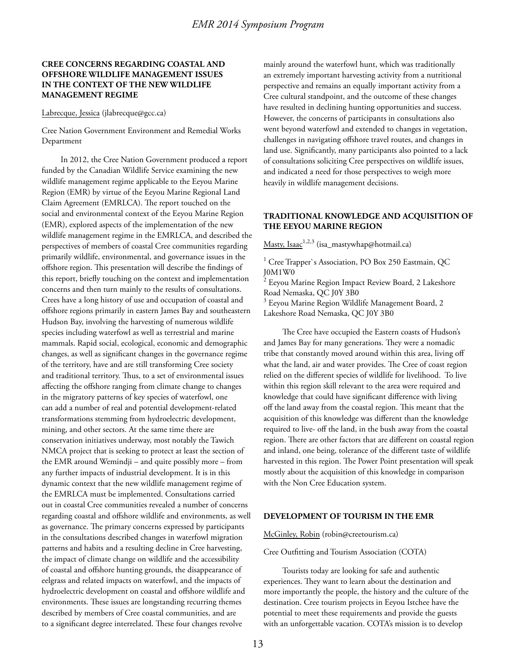# **CREE CONCERNS REGARDING COASTAL AND OFFSHORE WILDLIFE MANAGEMENT ISSUES IN THE CONTEXT OF THE NEW WILDLIFE MANAGEMENT REGIME**

#### Labrecque, Jessica (jlabrecque@gcc.ca)

Cree Nation Government Environment and Remedial Works Department

In 2012, the Cree Nation Government produced a report funded by the Canadian Wildlife Service examining the new wildlife management regime applicable to the Eeyou Marine Region (EMR) by virtue of the Eeyou Marine Regional Land Claim Agreement (EMRLCA). The report touched on the social and environmental context of the Eeyou Marine Region (EMR), explored aspects of the implementation of the new wildlife management regime in the EMRLCA, and described the perspectives of members of coastal Cree communities regarding primarily wildlife, environmental, and governance issues in the offshore region. This presentation will describe the findings of this report, briefly touching on the context and implementation concerns and then turn mainly to the results of consultations. Crees have a long history of use and occupation of coastal and offshore regions primarily in eastern James Bay and southeastern Hudson Bay, involving the harvesting of numerous wildlife species including waterfowl as well as terrestrial and marine mammals. Rapid social, ecological, economic and demographic changes, as well as significant changes in the governance regime of the territory, have and are still transforming Cree society and traditional territory. Thus, to a set of environmental issues affecting the offshore ranging from climate change to changes in the migratory patterns of key species of waterfowl, one can add a number of real and potential development-related transformations stemming from hydroelectric development, mining, and other sectors. At the same time there are conservation initiatives underway, most notably the Tawich NMCA project that is seeking to protect at least the section of the EMR around Wemindji – and quite possibly more – from any further impacts of industrial development. It is in this dynamic context that the new wildlife management regime of the EMRLCA must be implemented. Consultations carried out in coastal Cree communities revealed a number of concerns regarding coastal and offshore wildlife and environments, as well as governance. The primary concerns expressed by participants in the consultations described changes in waterfowl migration patterns and habits and a resulting decline in Cree harvesting, the impact of climate change on wildlife and the accessibility of coastal and offshore hunting grounds, the disappearance of eelgrass and related impacts on waterfowl, and the impacts of hydroelectric development on coastal and offshore wildlife and environments. These issues are longstanding recurring themes described by members of Cree coastal communities, and are to a significant degree interrelated. These four changes revolve

mainly around the waterfowl hunt, which was traditionally an extremely important harvesting activity from a nutritional perspective and remains an equally important activity from a Cree cultural standpoint, and the outcome of these changes have resulted in declining hunting opportunities and success. However, the concerns of participants in consultations also went beyond waterfowl and extended to changes in vegetation, challenges in navigating offshore travel routes, and changes in land use. Significantly, many participants also pointed to a lack of consultations soliciting Cree perspectives on wildlife issues, and indicated a need for those perspectives to weigh more heavily in wildlife management decisions.

# **TRADITIONAL KNOWLEDGE AND ACQUISITION OF THE EEYOU MARINE REGION**

Masty, Isaac<sup>1,2,3</sup> (isa\_mastywhap@hotmail.ca)

<sup>1</sup> Cree Trapper`s Association, PO Box 250 Eastmain, QC J0M1W0

<sup>2</sup> Eeyou Marine Region Impact Review Board, 2 Lakeshore Road Nemaska, QC J0Y 3B0

 $^3$  Eeyou Marine Region Wildlife Management Board, 2 Lakeshore Road Nemaska, QC J0Y 3B0

The Cree have occupied the Eastern coasts of Hudson's and James Bay for many generations. They were a nomadic tribe that constantly moved around within this area, living off what the land, air and water provides. The Cree of coast region relied on the different species of wildlife for livelihood. To live within this region skill relevant to the area were required and knowledge that could have significant difference with living off the land away from the coastal region. This meant that the acquisition of this knowledge was different than the knowledge required to live- off the land, in the bush away from the coastal region. There are other factors that are different on coastal region and inland, one being, tolerance of the different taste of wildlife harvested in this region. The Power Point presentation will speak mostly about the acquisition of this knowledge in comparison with the Non Cree Education system.

#### **DEVELOPMENT OF TOURISM IN THE EMR**

McGinley, Robin (robin@creetourism.ca)

#### Cree Outfitting and Tourism Association (COTA)

Tourists today are looking for safe and authentic experiences. They want to learn about the destination and more importantly the people, the history and the culture of the destination. Cree tourism projects in Eeyou Istchee have the potential to meet these requirements and provide the guests with an unforgettable vacation. COTA's mission is to develop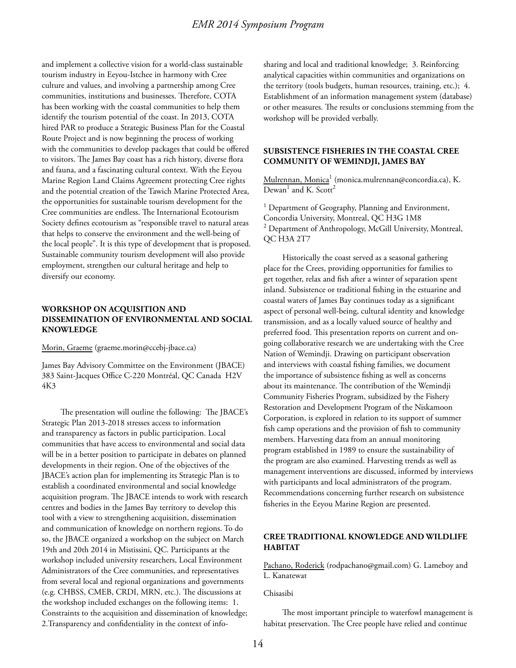and implement a collective vision for a world-class sustainable tourism industry in Eeyou-Istchee in harmony with Cree culture and values, and involving a partnership among Cree communities, institutions and businesses. Therefore, COTA has been working with the coastal communities to help them identify the tourism potential of the coast. In 2013, COTA hired PAR to produce a Strategic Business Plan for the Coastal Route Project and is now beginning the process of working with the communities to develop packages that could be offered to visitors. The James Bay coast has a rich history, diverse flora and fauna, and a fascinating cultural context. With the Eeyou Marine Region Land Claims Agreement protecting Cree rights and the potential creation of the Tawich Marine Protected Area, the opportunities for sustainable tourism development for the Cree communities are endless. The International Ecotourism Society defines ecotourism as "responsible travel to natural areas that helps to conserve the environment and the well-being of the local people". It is this type of development that is proposed. Sustainable community tourism development will also provide employment, strengthen our cultural heritage and help to diversify our economy.

# **WORKSHOP ON ACQUISITION AND DISSEMINATION OF ENVIRONMENTAL AND SOCIAL KNOWLEDGE**

Morin, Graeme (graeme.morin@ccebj-jbace.ca)

James Bay Advisory Committee on the Environment (JBACE) 383 Saint-Jacques Office C-220 Montréal, QC Canada H2V 4K3

The presentation will outline the following: The JBACE's Strategic Plan 2013-2018 stresses access to information and transparency as factors in public participation. Local communities that have access to environmental and social data will be in a better position to participate in debates on planned developments in their region. One of the objectives of the JBACE's action plan for implementing its Strategic Plan is to establish a coordinated environmental and social knowledge acquisition program. The JBACE intends to work with research centres and bodies in the James Bay territory to develop this tool with a view to strengthening acquisition, dissemination and communication of knowledge on northern regions. To do so, the JBACE organized a workshop on the subject on March 19th and 20th 2014 in Mistissini, QC. Participants at the workshop included university researchers, Local Environment Administrators of the Cree communities, and representatives from several local and regional organizations and governments (e.g. CHBSS, CMEB, CRDI, MRN, etc.). The discussions at the workshop included exchanges on the following items: 1. Constraints to the acquisition and dissemination of knowledge; 2.Transparency and confidentiality in the context of infosharing and local and traditional knowledge; 3. Reinforcing analytical capacities within communities and organizations on the territory (tools budgets, human resources, training, etc.); 4. Establishment of an information management system (database) or other measures. The results or conclusions stemming from the workshop will be provided verbally.

# **SUBSISTENCE FISHERIES IN THE COASTAL CREE COMMUNITY OF WEMINDJI, JAMES BAY**

<u>Mulrennan, Monica<sup>1</sup> (monica.mulrennan@concordia.ca), K.</u> Dewan<sup>1</sup> and K. Scott<sup>2</sup>

<sup>1</sup> Department of Geography, Planning and Environment, Concordia University, Montreal, QC H3G 1M8  $2$  Department of Anthropology, McGill University, Montreal, QC H3A 2T7

Historically the coast served as a seasonal gathering place for the Crees, providing opportunities for families to get together, relax and fish after a winter of separation spent inland. Subsistence or traditional fishing in the estuarine and coastal waters of James Bay continues today as a significant aspect of personal well-being, cultural identity and knowledge transmission, and as a locally valued source of healthy and preferred food. This presentation reports on current and ongoing collaborative research we are undertaking with the Cree Nation of Wemindji. Drawing on participant observation and interviews with coastal fishing families, we document the importance of subsistence fishing as well as concerns about its maintenance. The contribution of the Wemindji Community Fisheries Program, subsidized by the Fishery Restoration and Development Program of the Niskamoon Corporation, is explored in relation to its support of summer fish camp operations and the provision of fish to community members. Harvesting data from an annual monitoring program established in 1989 to ensure the sustainability of the program are also examined. Harvesting trends as well as management interventions are discussed, informed by interviews with participants and local administrators of the program. Recommendations concerning further research on subsistence fisheries in the Eeyou Marine Region are presented.

# **CREE TRADITIONAL KNOWLEDGE AND WILDLIFE HABITAT**

Pachano, Roderick (rodpachano@gmail.com) G. Lameboy and L. Kanatewat

Chisasibi

The most important principle to waterfowl management is habitat preservation. The Cree people have relied and continue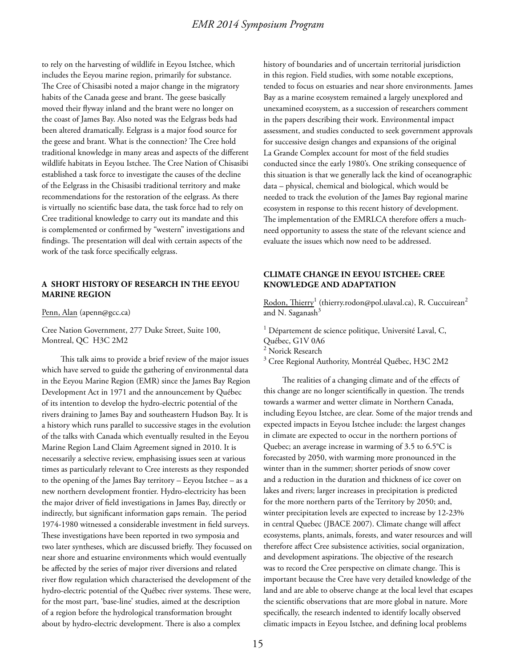to rely on the harvesting of wildlife in Eeyou Istchee, which includes the Eeyou marine region, primarily for substance. The Cree of Chisasibi noted a major change in the migratory habits of the Canada geese and brant. The geese basically moved their flyway inland and the brant were no longer on the coast of James Bay. Also noted was the Eelgrass beds had been altered dramatically. Eelgrass is a major food source for the geese and brant. What is the connection? The Cree hold traditional knowledge in many areas and aspects of the different wildlife habitats in Eeyou Istchee. The Cree Nation of Chisasibi established a task force to investigate the causes of the decline of the Eelgrass in the Chisasibi traditional territory and make recommendations for the restoration of the eelgrass. As there is virtually no scientific base data, the task force had to rely on Cree traditional knowledge to carry out its mandate and this is complemented or confirmed by "western" investigations and findings. The presentation will deal with certain aspects of the work of the task force specifically eelgrass.

# **A SHORT HISTORY OF RESEARCH IN THE EEYOU MARINE REGION**

Penn, Alan (apenn@gcc.ca)

Cree Nation Government, 277 Duke Street, Suite 100, Montreal, QC H3C 2M2

This talk aims to provide a brief review of the major issues which have served to guide the gathering of environmental data in the Eeyou Marine Region (EMR) since the James Bay Region Development Act in 1971 and the announcement by Québec of its intention to develop the hydro-electric potential of the rivers draining to James Bay and southeastern Hudson Bay. It is a history which runs parallel to successive stages in the evolution of the talks with Canada which eventually resulted in the Eeyou Marine Region Land Claim Agreement signed in 2010. It is necessarily a selective review, emphasising issues seen at various times as particularly relevant to Cree interests as they responded to the opening of the James Bay territory – Eeyou Istchee – as a new northern development frontier. Hydro-electricity has been the major driver of field investigations in James Bay, directly or indirectly, but significant information gaps remain. The period 1974-1980 witnessed a considerable investment in field surveys. These investigations have been reported in two symposia and two later syntheses, which are discussed briefly. They focussed on near shore and estuarine environments which would eventually be affected by the series of major river diversions and related river flow regulation which characterised the development of the hydro-electric potential of the Québec river systems. These were, for the most part, 'base-line' studies, aimed at the description of a region before the hydrological transformation brought about by hydro-electric development. There is also a complex

history of boundaries and of uncertain territorial jurisdiction in this region. Field studies, with some notable exceptions, tended to focus on estuaries and near shore environments. James Bay as a marine ecosystem remained a largely unexplored and unexamined ecosystem, as a succession of researchers comment in the papers describing their work. Environmental impact assessment, and studies conducted to seek government approvals for successive design changes and expansions of the original La Grande Complex account for most of the field studies conducted since the early 1980's. One striking consequence of this situation is that we generally lack the kind of oceanographic data – physical, chemical and biological, which would be needed to track the evolution of the James Bay regional marine ecosystem in response to this recent history of development. The implementation of the EMRLCA therefore offers a muchneed opportunity to assess the state of the relevant science and evaluate the issues which now need to be addressed.

# **CLIMATE CHANGE IN EEYOU ISTCHEE: CREE KNOWLEDGE AND ADAPTATION**

 $\rm Rodon,\,Thierry^1$  (thierry.rodon@pol.ulaval.ca), R. Cuccuirean $^2$ and N. Saganash $3$ 

<sup>1</sup> Département de science politique, Université Laval, C, Québec, G1V 0A6 2 Norick Research

 $^3$  Cree Regional Authority, Montréal Québec, H3C 2M2

The realities of a changing climate and of the effects of this change are no longer scientifically in question. The trends towards a warmer and wetter climate in Northern Canada, including Eeyou Istchee, are clear. Some of the major trends and expected impacts in Eeyou Istchee include: the largest changes in climate are expected to occur in the northern portions of Quebec; an average increase in warming of 3.5 to 6.5°C is forecasted by 2050, with warming more pronounced in the winter than in the summer; shorter periods of snow cover and a reduction in the duration and thickness of ice cover on lakes and rivers; larger increases in precipitation is predicted for the more northern parts of the Territory by 2050; and, winter precipitation levels are expected to increase by 12-23% in central Quebec (JBACE 2007). Climate change will affect ecosystems, plants, animals, forests, and water resources and will therefore affect Cree subsistence activities, social organization, and development aspirations. The objective of the research was to record the Cree perspective on climate change. This is important because the Cree have very detailed knowledge of the land and are able to observe change at the local level that escapes the scientific observations that are more global in nature. More specifically, the research indented to identify locally observed climatic impacts in Eeyou Istchee, and defining local problems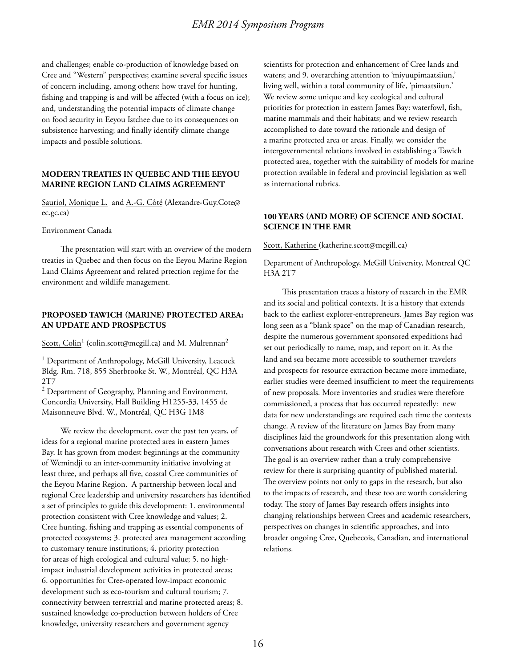and challenges; enable co-production of knowledge based on Cree and "Western" perspectives; examine several specific issues of concern including, among others: how travel for hunting, fishing and trapping is and will be affected (with a focus on ice); and, understanding the potential impacts of climate change on food security in Eeyou Istchee due to its consequences on subsistence harvesting; and finally identify climate change impacts and possible solutions.

### **MODERN TREATIES IN QUEBEC AND THE EEYOU MARINE REGION LAND CLAIMS AGREEMENT**

Sauriol, Monique L. and A.-G. Côté (Alexandre-Guy.Cote@ ec.gc.ca)

#### Environment Canada

The presentation will start with an overview of the modern treaties in Quebec and then focus on the Eeyou Marine Region Land Claims Agreement and related prtection regime for the environment and wildlife management.

# **PROPOSED TAWICH (MARINE) PROTECTED AREA: AN UPDATE AND PROSPECTUS**

 $\overline{\text{Scott}}, \overline{\text{Colin}}^1$  (colin.scott@mcgill.ca) and M. Mulrennan $^2$ 

<sup>1</sup> Department of Anthropology, McGill University, Leacock Bldg. Rm. 718, 855 Sherbrooke St. W., Montréal, QC H3A 2T7

 $2$  Department of Geography, Planning and Environment, Concordia University, Hall Building H1255-33, 1455 de Maisonneuve Blvd. W., Montréal, QC H3G 1M8

We review the development, over the past ten years, of ideas for a regional marine protected area in eastern James Bay. It has grown from modest beginnings at the community of Wemindji to an inter-community initiative involving at least three, and perhaps all five, coastal Cree communities of the Eeyou Marine Region. A partnership between local and regional Cree leadership and university researchers has identified a set of principles to guide this development: 1. environmental protection consistent with Cree knowledge and values; 2. Cree hunting, fishing and trapping as essential components of protected ecosystems; 3. protected area management according to customary tenure institutions; 4. priority protection for areas of high ecological and cultural value; 5. no highimpact industrial development activities in protected areas; 6. opportunities for Cree-operated low-impact economic development such as eco-tourism and cultural tourism; 7. connectivity between terrestrial and marine protected areas; 8. sustained knowledge co-production between holders of Cree knowledge, university researchers and government agency

scientists for protection and enhancement of Cree lands and waters; and 9. overarching attention to 'miyuupimaatsiiun,' living well, within a total community of life, 'pimaatsiiun.' We review some unique and key ecological and cultural priorities for protection in eastern James Bay: waterfowl, fish, marine mammals and their habitats; and we review research accomplished to date toward the rationale and design of a marine protected area or areas. Finally, we consider the intergovernmental relations involved in establishing a Tawich protected area, together with the suitability of models for marine protection available in federal and provincial legislation as well as international rubrics.

# **100 YEARS (AND MORE) OF SCIENCE AND SOCIAL SCIENCE IN THE EMR**

Scott, Katherine (katherine.scott@mcgill.ca)

Department of Anthropology, McGill University, Montreal QC H3A 2T7

This presentation traces a history of research in the EMR and its social and political contexts. It is a history that extends back to the earliest explorer-entrepreneurs. James Bay region was long seen as a "blank space" on the map of Canadian research, despite the numerous government sponsored expeditions had set out periodically to name, map, and report on it. As the land and sea became more accessible to southerner travelers and prospects for resource extraction became more immediate, earlier studies were deemed insufficient to meet the requirements of new proposals. More inventories and studies were therefore commissioned, a process that has occurred repeatedly: new data for new understandings are required each time the contexts change. A review of the literature on James Bay from many disciplines laid the groundwork for this presentation along with conversations about research with Crees and other scientists. The goal is an overview rather than a truly comprehensive review for there is surprising quantity of published material. The overview points not only to gaps in the research, but also to the impacts of research, and these too are worth considering today. The story of James Bay research offers insights into changing relationships between Crees and academic researchers, perspectives on changes in scientific approaches, and into broader ongoing Cree, Quebecois, Canadian, and international relations.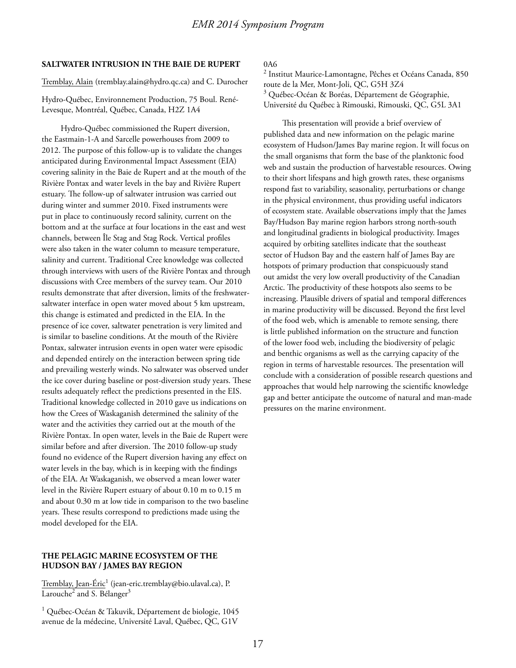#### **SALTWATER INTRUSION IN THE BAIE DE RUPERT**

Tremblay, Alain (tremblay.alain@hydro.qc.ca) and C. Durocher

Hydro-Québec, Environnement Production, 75 Boul. René-Levesque, Montréal, Québec, Canada, H2Z 1A4

Hydro-Québec commissioned the Rupert diversion, the Eastmain-1-A and Sarcelle powerhouses from 2009 to 2012. The purpose of this follow-up is to validate the changes anticipated during Environmental Impact Assessment (EIA) covering salinity in the Baie de Rupert and at the mouth of the Rivière Pontax and water levels in the bay and Rivière Rupert estuary. The follow-up of saltwater intrusion was carried out during winter and summer 2010. Fixed instruments were put in place to continuously record salinity, current on the bottom and at the surface at four locations in the east and west channels, between Île Stag and Stag Rock. Vertical profiles were also taken in the water column to measure temperature, salinity and current. Traditional Cree knowledge was collected through interviews with users of the Rivière Pontax and through discussions with Cree members of the survey team. Our 2010 results demonstrate that after diversion, limits of the freshwatersaltwater interface in open water moved about 5 km upstream, this change is estimated and predicted in the EIA. In the presence of ice cover, saltwater penetration is very limited and is similar to baseline conditions. At the mouth of the Rivière Pontax, saltwater intrusion events in open water were episodic and depended entirely on the interaction between spring tide and prevailing westerly winds. No saltwater was observed under the ice cover during baseline or post-diversion study years. These results adequately reflect the predictions presented in the EIS. Traditional knowledge collected in 2010 gave us indications on how the Crees of Waskaganish determined the salinity of the water and the activities they carried out at the mouth of the Rivière Pontax. In open water, levels in the Baie de Rupert were similar before and after diversion. The 2010 follow-up study found no evidence of the Rupert diversion having any effect on water levels in the bay, which is in keeping with the findings of the EIA. At Waskaganish, we observed a mean lower water level in the Rivière Rupert estuary of about 0.10 m to 0.15 m and about 0.30 m at low tide in comparison to the two baseline years. These results correspond to predictions made using the model developed for the EIA.

# **THE PELAGIC MARINE ECOSYSTEM OF THE HUDSON BAY / JAMES BAY REGION**

<u>Tremblay, Jean-Éric<sup>1</sup> (jean-eric.tremblay@bio.ulaval.ca), P.</u> Larouche<sup>2</sup> and S. Bélanger<sup>3</sup>

<sup>1</sup> Québec-Océan & Takuvik, Département de biologie, 1045 avenue de la médecine, Université Laval, Québec, QC, G1V

0A6

2 Institut Maurice-Lamontagne, Pêches et Océans Canada, 850 route de la Mer, Mont-Joli, QC, G5H 3Z4 <sup>3</sup> Québec-Océan & Boréas, Département de Géographie, Université du Québec à Rimouski, Rimouski, QC, G5L 3A1

This presentation will provide a brief overview of published data and new information on the pelagic marine ecosystem of Hudson/James Bay marine region. It will focus on the small organisms that form the base of the planktonic food web and sustain the production of harvestable resources. Owing to their short lifespans and high growth rates, these organisms respond fast to variability, seasonality, perturbations or change in the physical environment, thus providing useful indicators of ecosystem state. Available observations imply that the James Bay/Hudson Bay marine region harbors strong north-south and longitudinal gradients in biological productivity. Images acquired by orbiting satellites indicate that the southeast sector of Hudson Bay and the eastern half of James Bay are hotspots of primary production that conspicuously stand out amidst the very low overall productivity of the Canadian Arctic. The productivity of these hotspots also seems to be increasing. Plausible drivers of spatial and temporal differences in marine productivity will be discussed. Beyond the first level of the food web, which is amenable to remote sensing, there is little published information on the structure and function of the lower food web, including the biodiversity of pelagic and benthic organisms as well as the carrying capacity of the region in terms of harvestable resources. The presentation will conclude with a consideration of possible research questions and approaches that would help narrowing the scientific knowledge gap and better anticipate the outcome of natural and man-made pressures on the marine environment.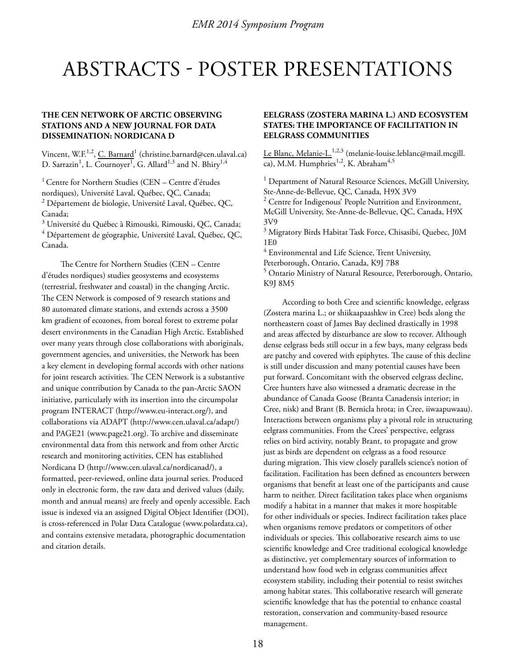# ABSTRACTS - POSTER PRESENTATIONS

# **THE CEN NETWORK OF ARCTIC OBSERVING STATIONS AND A NEW JOURNAL FOR DATA DISSEMINATION: NORDICANA D**

Vincent, W.F.<sup>1,2</sup>, <u>C. Barnard</u><sup>1</sup> (christine.barnard@cen.ulaval.ca) D. Sarrazin $^1$ , L. Cournoyer $^1$ , G. Allard $^{1,3}$  and N. Bhiry $^{1,4}$ 

 $1$  Centre for Northern Studies (CEN – Centre d'études nordiques), Université Laval, Québec, QC, Canada;  $^2$  Département de biologie, Université Laval, Québec, QC, Canada;

 $^3$  Université du Québec à Rimouski, Rimouski, QC, Canada;

 $^4$  Département de géographie, Université Laval, Québec, QC, Canada.

The Centre for Northern Studies (CEN – Centre d'études nordiques) studies geosystems and ecosystems (terrestrial, freshwater and coastal) in the changing Arctic. The CEN Network is composed of 9 research stations and 80 automated climate stations, and extends across a 3500 km gradient of ecozones, from boreal forest to extreme polar desert environments in the Canadian High Arctic. Established over many years through close collaborations with aboriginals, government agencies, and universities, the Network has been a key element in developing formal accords with other nations for joint research activities. The CEN Network is a substantive and unique contribution by Canada to the pan-Arctic SAON initiative, particularly with its insertion into the circumpolar program INTERACT (http://www.eu-interact.org/), and collaborations via ADAPT (http://www.cen.ulaval.ca/adapt/) and PAGE21 (www.page21.org). To archive and disseminate environmental data from this network and from other Arctic research and monitoring activities, CEN has established Nordicana D (http://www.cen.ulaval.ca/nordicanad/), a formatted, peer-reviewed, online data journal series. Produced only in electronic form, the raw data and derived values (daily, month and annual means) are freely and openly accessible. Each issue is indexed via an assigned Digital Object Identifier (DOI), is cross-referenced in Polar Data Catalogue (www.polardata.ca), and contains extensive metadata, photographic documentation and citation details.

# **EELGRASS (ZOSTERA MARINA L.) AND ECOSYSTEM STATES: THE IMPORTANCE OF FACILITATION IN EELGRASS COMMUNITIES**

Le Blanc, Melanie-L. $^{1,2,3}$  (melanie-louise.leblanc@mail.mcgill. ca), M.M. Humphries<sup>1,2</sup>, K. Abraham<sup>4,5</sup>

<sup>1</sup> Department of Natural Resource Sciences, McGill University, Ste-Anne-de-Bellevue, QC, Canada, H9X 3V9

<sup>2</sup> Centre for Indigenous' People Nutrition and Environment, McGill University, Ste-Anne-de-Bellevue, QC, Canada, H9X 3V9

 $^3$  Migratory Birds Habitat Task Force, Chisasibi, Quebec, J0M 1E0

 $^4$  Environmental and Life Science, Trent University,

Peterborough, Ontario, Canada, K9J 7B8

<sup>5</sup> Ontario Ministry of Natural Resource, Peterborough, Ontario, K9J 8M5

According to both Cree and scientific knowledge, eelgrass (Zostera marina L.; or shiikaapaashkw in Cree) beds along the northeastern coast of James Bay declined drastically in 1998 and areas affected by disturbance are slow to recover. Although dense eelgrass beds still occur in a few bays, many eelgrass beds are patchy and covered with epiphytes. The cause of this decline is still under discussion and many potential causes have been put forward. Concomitant with the observed eelgrass decline, Cree hunters have also witnessed a dramatic decrease in the abundance of Canada Goose (Branta Canadensis interior; in Cree, nisk) and Brant (B. Bernicla hrota; in Cree, iiwaapuwaau). Interactions between organisms play a pivotal role in structuring eelgrass communities. From the Crees' perspective, eelgrass relies on bird activity, notably Brant, to propagate and grow just as birds are dependent on eelgrass as a food resource during migration. This view closely parallels science's notion of facilitation. Facilitation has been defined as encounters between organisms that benefit at least one of the participants and cause harm to neither. Direct facilitation takes place when organisms modify a habitat in a manner that makes it more hospitable for other individuals or species. Indirect facilitation takes place when organisms remove predators or competitors of other individuals or species. This collaborative research aims to use scientific knowledge and Cree traditional ecological knowledge as distinctive, yet complementary sources of information to understand how food web in eelgrass communities affect ecosystem stability, including their potential to resist switches among habitat states. This collaborative research will generate scientific knowledge that has the potential to enhance coastal restoration, conservation and community-based resource management.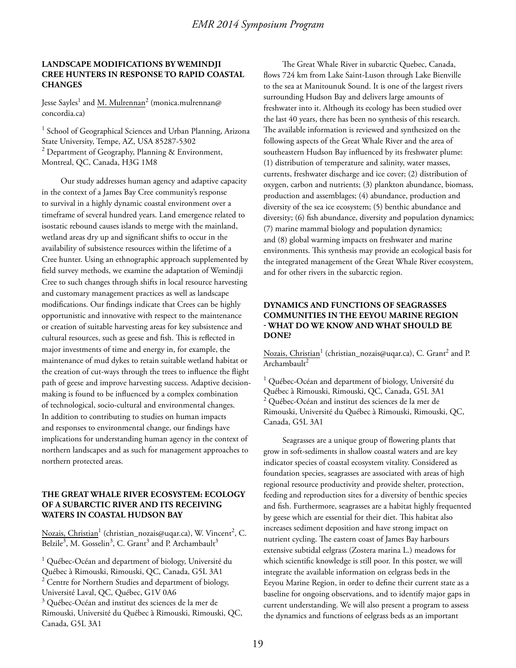### **LANDSCAPE MODIFICATIONS BY WEMINDJI CREE HUNTERS IN RESPONSE TO RAPID COASTAL CHANGES**

Jesse Sayles<sup>1</sup> and <u>M. Mulrennan</u><sup>2</sup> (monica.mulrennan@ concordia.ca)

<sup>1</sup> School of Geographical Sciences and Urban Planning, Arizona State University, Tempe, AZ, USA 85287-5302  $2$  Department of Geography, Planning & Environment, Montreal, QC, Canada, H3G 1M8

Our study addresses human agency and adaptive capacity in the context of a James Bay Cree community's response to survival in a highly dynamic coastal environment over a timeframe of several hundred years. Land emergence related to isostatic rebound causes islands to merge with the mainland, wetland areas dry up and significant shifts to occur in the availability of subsistence resources within the lifetime of a Cree hunter. Using an ethnographic approach supplemented by field survey methods, we examine the adaptation of Wemindji Cree to such changes through shifts in local resource harvesting and customary management practices as well as landscape modifications. Our findings indicate that Crees can be highly opportunistic and innovative with respect to the maintenance or creation of suitable harvesting areas for key subsistence and cultural resources, such as geese and fish. This is reflected in major investments of time and energy in, for example, the maintenance of mud dykes to retain suitable wetland habitat or the creation of cut-ways through the trees to influence the flight path of geese and improve harvesting success. Adaptive decisionmaking is found to be influenced by a complex combination of technological, socio-cultural and environmental changes. In addition to contributing to studies on human impacts and responses to environmental change, our findings have implications for understanding human agency in the context of northern landscapes and as such for management approaches to northern protected areas.

# **THE GREAT WHALE RIVER ECOSYSTEM: ECOLOGY OF A SUBARCTIC RIVER AND ITS RECEIVING WATERS IN COASTAL HUDSON BAY**

Nozais, Christian 1 (christian\_nozais@uqar.ca), W. Vincent<sup>2</sup>, C. Belzile<sup>3</sup>, M. Gosselin<sup>3</sup>, C. Grant<sup>3</sup> and P. Archambault<sup>3</sup>

<sup>1</sup> Québec-Océan and department of biology, Université du Québec à Rimouski, Rimouski, QC, Canada, G5L 3A1  $2$  Centre for Northern Studies and department of biology, Université Laval, QC, Québec, G1V 0A6

<sup>3</sup> Québec-Océan and institut des sciences de la mer de Rimouski, Université du Québec à Rimouski, Rimouski, QC, Canada, G5L 3A1

The Great Whale River in subarctic Quebec, Canada, flows 724 km from Lake Saint-Luson through Lake Bienville to the sea at Manitounuk Sound. It is one of the largest rivers surrounding Hudson Bay and delivers large amounts of freshwater into it. Although its ecology has been studied over the last 40 years, there has been no synthesis of this research. The available information is reviewed and synthesized on the following aspects of the Great Whale River and the area of southeastern Hudson Bay influenced by its freshwater plume: (1) distribution of temperature and salinity, water masses, currents, freshwater discharge and ice cover; (2) distribution of oxygen, carbon and nutrients; (3) plankton abundance, biomass, production and assemblages; (4) abundance, production and diversity of the sea ice ecosystem; (5) benthic abundance and diversity; (6) fish abundance, diversity and population dynamics; (7) marine mammal biology and population dynamics; and (8) global warming impacts on freshwater and marine environments. This synthesis may provide an ecological basis for the integrated management of the Great Whale River ecosystem, and for other rivers in the subarctic region.

# **DYNAMICS AND FUNCTIONS OF SEAGRASSES COMMUNITIES IN THE EEYOU MARINE REGION - WHAT DO WE KNOW AND WHAT SHOULD BE DONE?**

Nozais, Christian<sup>1</sup> (christian\_nozais@uqar.ca), C. Grant<sup>2</sup> and P. Archambault $^2$ 

<sup>1</sup> Québec-Océan and department of biology, Université du Québec à Rimouski, Rimouski, QC, Canada, G5L 3A1  $2$  Québec-Océan and institut des sciences de la mer de Rimouski, Université du Québec à Rimouski, Rimouski, QC, Canada, G5L 3A1

Seagrasses are a unique group of flowering plants that grow in soft-sediments in shallow coastal waters and are key indicator species of coastal ecosystem vitality. Considered as foundation species, seagrasses are associated with areas of high regional resource productivity and provide shelter, protection, feeding and reproduction sites for a diversity of benthic species and fish. Furthermore, seagrasses are a habitat highly frequented by geese which are essential for their diet. This habitat also increases sediment deposition and have strong impact on nutrient cycling. The eastern coast of James Bay harbours extensive subtidal eelgrass (Zostera marina L.) meadows for which scientific knowledge is still poor. In this poster, we will integrate the available information on eelgrass beds in the Eeyou Marine Region, in order to define their current state as a baseline for ongoing observations, and to identify major gaps in current understanding. We will also present a program to assess the dynamics and functions of eelgrass beds as an important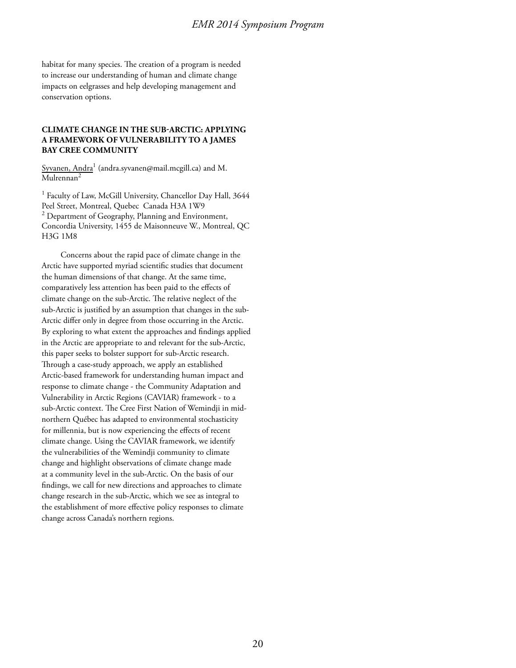habitat for many species. The creation of a program is needed to increase our understanding of human and climate change impacts on eelgrasses and help developing management and conservation options.

# **CLIMATE CHANGE IN THE SUB-ARCTIC: APPLYING A FRAMEWORK OF VULNERABILITY TO A JAMES BAY CREE COMMUNITY**

Syvanen, Andra $^1$  (andra.syvanen@mail.mcgill.ca) and M. Mulrennan<sup>2</sup>

<sup>1</sup> Faculty of Law, McGill University, Chancellor Day Hall, 3644 Peel Street, Montreal, Quebec Canada H3A 1W9 <sup>2</sup> Department of Geography, Planning and Environment, Concordia University, 1455 de Maisonneuve W., Montreal, QC H3G 1M8

Concerns about the rapid pace of climate change in the Arctic have supported myriad scientific studies that document the human dimensions of that change. At the same time, comparatively less attention has been paid to the effects of climate change on the sub-Arctic. The relative neglect of the sub-Arctic is justified by an assumption that changes in the sub-Arctic differ only in degree from those occurring in the Arctic. By exploring to what extent the approaches and findings applied in the Arctic are appropriate to and relevant for the sub-Arctic, this paper seeks to bolster support for sub-Arctic research. Through a case-study approach, we apply an established Arctic-based framework for understanding human impact and response to climate change - the Community Adaptation and Vulnerability in Arctic Regions (CAVIAR) framework - to a sub-Arctic context. The Cree First Nation of Wemindji in midnorthern Québec has adapted to environmental stochasticity for millennia, but is now experiencing the effects of recent climate change. Using the CAVIAR framework, we identify the vulnerabilities of the Wemindji community to climate change and highlight observations of climate change made at a community level in the sub-Arctic. On the basis of our findings, we call for new directions and approaches to climate change research in the sub-Arctic, which we see as integral to the establishment of more effective policy responses to climate change across Canada's northern regions.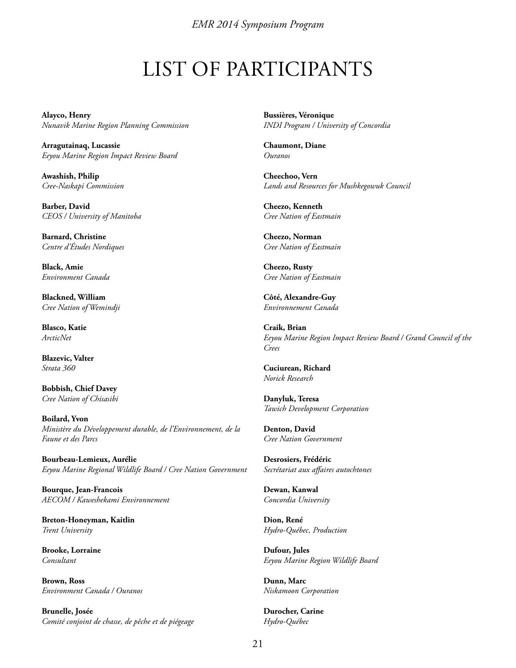# LIST OF PARTICIPANTS

**Alayco, Henry** *Nunavik Marine Region Planning Commission*

**Arragutainaq, Lucassie** *Eeyou Marine Region Impact Review Board*

**Awashish, Philip** *Cree-Naskapi Commission*

**Barber, David** *CEOS / University of Manitoba*

**Barnard, Christine** *Centre d'Études Nordiques*

**Black, Amie** *Environment Canada*

**Blackned, William** *Cree Nation of Wemindji*

**Blasco, Katie** *ArcticNet*

**Blazevic, Valter** *Strata 360*

**Bobbish, Chief Davey** *Cree Nation of Chisasibi*

**Boilard, Yvon** *Ministère du Développement durable, de l'Environnement, de la Faune et des Parcs*

**Bourbeau-Lemieux, Aurélie** *Eeyou Marine Regional Wildlife Board / Cree Nation Government*

**Bourque, Jean-Francois** *AECOM / Kaweshekami Environnement*

**Breton-Honeyman, Kaitlin** *Trent University* 

**Brooke, Lorraine** *Consultant*

**Brown, Ross** *Environment Canada / Ouranos*

**Brunelle, Josée** *Comité conjoint de chasse, de pêche et de piégeage* **Bussières, Véronique** *INDI Program / University of Concordia*

**Chaumont, Diane** *Ouranos*

**Cheechoo, Vern** *Lands and Resources for Mushkegowuk Council*

**Cheezo, Kenneth** *Cree Nation of Eastmain*

**Cheezo, Norman** *Cree Nation of Eastmain*

**Cheezo, Rusty** *Cree Nation of Eastmain*

**Côté, Alexandre-Guy** *Environnement Canada*

**Craik, Brian** *Eeyou Marine Region Impact Review Board / Grand Council of the Crees*

**Cuciurean, Richard** *Norick Research*

**Danyluk, Teresa** *Tawich Development Corporation*

**Denton, David** *Cree Nation Government*

**Desrosiers, Frédéric** *Secrétariat aux affaires autochtones*

**Dewan, Kanwal** *Concordia University*

**Dion, René** *Hydro-Québec, Production*

**Dufour, Jules** *Eeyou Marine Region Wildlife Board*

**Dunn, Marc** *Niskamoon Corporation*

**Durocher, Carine** *Hydro-Québec*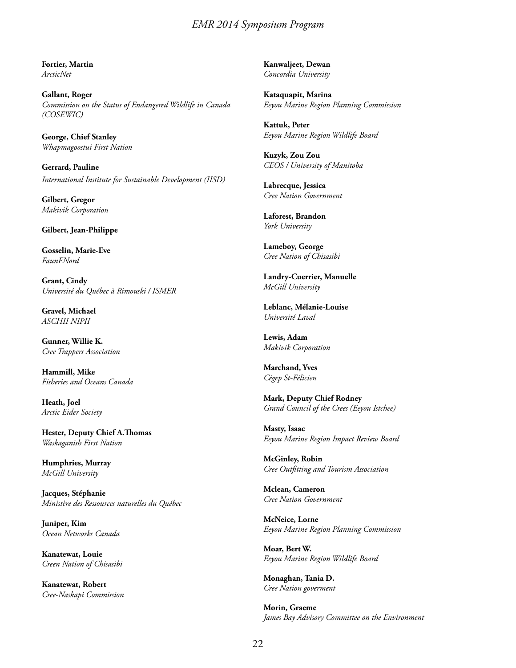**Fortier, Martin** *ArcticNet*

**Gallant, Roger** *Commission on the Status of Endangered Wildlife in Canada (COSEWIC)*

**George, Chief Stanley** *Whapmagoostui First Nation*

**Gerrard, Pauline** *International Institute for Sustainable Development (IISD)*

**Gilbert, Gregor** *Makivik Corporation*

**Gilbert, Jean-Philippe** 

**Gosselin, Marie-Eve** *FaunENord*

**Grant, Cindy** *Université du Québec à Rimouski / ISMER*

**Gravel, Michael** *ASCHII NIPII*

**Gunner, Willie K.** *Cree Trappers Association*

**Hammill, Mike** *Fisheries and Oceans Canada*

**Heath, Joel** *Arctic Eider Society*

**Hester, Deputy Chief A.Thomas** *Waskaganish First Nation*

**Humphries, Murray** *McGill University*

**Jacques, Stéphanie** *Ministère des Ressources naturelles du Québec*

**Juniper, Kim** *Ocean Networks Canada*

**Kanatewat, Louie** *Creen Nation of Chisasibi*

**Kanatewat, Robert** *Cree-Naskapi Commission* **Kanwaljeet, Dewan** *Concordia University*

**Kataquapit, Marina** *Eeyou Marine Region Planning Commission*

**Kattuk, Peter** *Eeyou Marine Region Wildlife Board*

**Kuzyk, Zou Zou** *CEOS / University of Manitoba*

**Labrecque, Jessica** *Cree Nation Government*

**Laforest, Brandon** *York University*

**Lameboy, George** *Cree Nation of Chisasibi*

**Landry-Cuerrier, Manuelle** *McGill University*

**Leblanc, Mélanie-Louise** *Université Laval*

**Lewis, Adam** *Makivik Corporation*

**Marchand, Yves** *Cégep St-Félicien*

**Mark, Deputy Chief Rodney** *Grand Council of the Crees (Eeyou Istchee)*

**Masty, Isaac** *Eeyou Marine Region Impact Review Board*

**McGinley, Robin** *Cree Outfitting and Tourism Association*

**Mclean, Cameron** *Cree Nation Government*

**McNeice, Lorne** *Eeyou Marine Region Planning Commission*

**Moar, Bert W.** *Eeyou Marine Region Wildlife Board*

**Monaghan, Tania D.** *Cree Nation goverment*

**Morin, Graeme** *James Bay Advisory Committee on the Environment*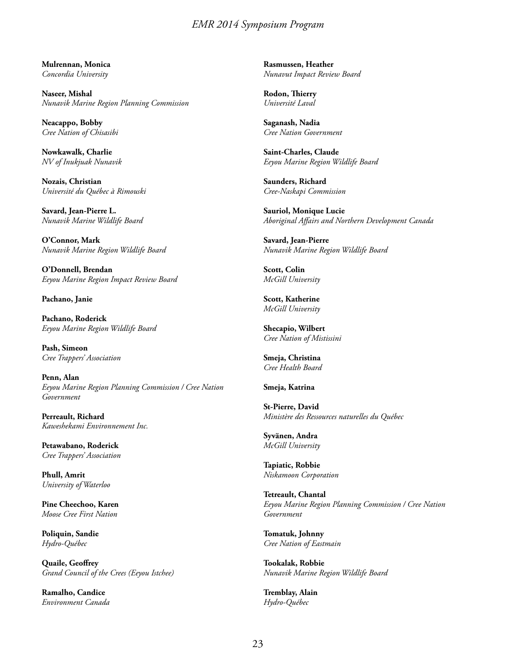**Mulrennan, Monica** *Concordia University*

**Naseer, Mishal** *Nunavik Marine Region Planning Commission*

**Neacappo, Bobby** *Cree Nation of Chisasibi*

**Nowkawalk, Charlie** *NV of Inukjuak Nunavik*

**Nozais, Christian** *Université du Québec à Rimouski*

**Savard, Jean-Pierre L.** *Nunavik Marine Wildlife Board*

**O'Connor, Mark** *Nunavik Marine Region Wildlife Board*

**O'Donnell, Brendan** *Eeyou Marine Region Impact Review Board*

**Pachano, Janie**

**Pachano, Roderick** *Eeyou Marine Region Wildlife Board*

**Pash, Simeon** *Cree Trappers' Association*

**Penn, Alan** *Eeyou Marine Region Planning Commission / Cree Nation Government*

**Perreault, Richard** *Kaweshekami Environnement Inc.*

**Petawabano, Roderick** *Cree Trappers' Association*

**Phull, Amrit** *University of Waterloo*

**Pine Cheechoo, Karen** *Moose Cree First Nation*

**Poliquin, Sandie** *Hydro-Québec*

**Quaile, Geoffrey** *Grand Council of the Crees (Eeyou Istchee)*

**Ramalho, Candice** *Environment Canada* **Rasmussen, Heather** *Nunavut Impact Review Board*

**Rodon, Thierry** *Université Laval*

**Saganash, Nadia** *Cree Nation Government*

**Saint-Charles, Claude** *Eeyou Marine Region Wildlife Board*

**Saunders, Richard** *Cree-Naskapi Commission*

**Sauriol, Monique Lucie** *Aboriginal Affairs and Northern Development Canada*

**Savard, Jean-Pierre** *Nunavik Marine Region Wildlife Board*

**Scott, Colin** *McGill University*

**Scott, Katherine** *McGill University*

**Shecapio, Wilbert** *Cree Nation of Mistissini*

**Smeja, Christina** *Cree Health Board*

**Smeja, Katrina**

**St-Pierre, David** *Ministère des Ressources naturelles du Québec*

**Syvänen, Andra** *McGill University*

**Tapiatic, Robbie** *Niskamoon Corporation*

**Tetreault, Chantal** *Eeyou Marine Region Planning Commission / Cree Nation Government*

**Tomatuk, Johnny** *Cree Nation of Eastmain*

**Tookalak, Robbie** *Nunavik Marine Region Wildlife Board*

**Tremblay, Alain** *Hydro-Québec*